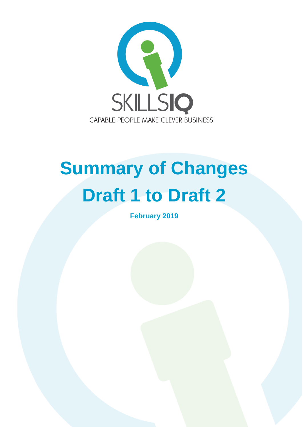

# **Summary of Changes Draft 1 to Draft 2**

**February 2019**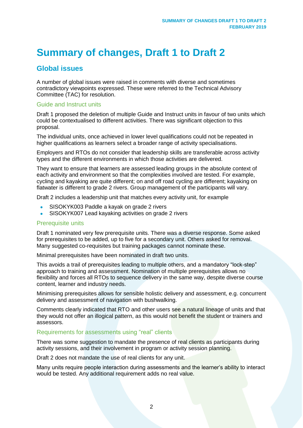# **Summary of changes, Draft 1 to Draft 2**

# **Global issues**

A number of global issues were raised in comments with diverse and sometimes contradictory viewpoints expressed. These were referred to the Technical Advisory Committee (TAC) for resolution.

#### Guide and Instruct units

Draft 1 proposed the deletion of multiple Guide and Instruct units in favour of two units which could be contextualised to different activities. There was significant objection to this proposal.

The individual units, once achieved in lower level qualifications could not be repeated in higher qualifications as learners select a broader range of activity specialisations.

Employers and RTOs do not consider that leadership skills are transferable across activity types and the different environments in which those activities are delivered.

They want to ensure that learners are assessed leading groups in the absolute context of each activity and environment so that the complexities involved are tested. For example, cycling and kayaking are quite different; on and off road cycling are different; kayaking on flatwater is different to grade 2 rivers. Group management of the participants will vary.

Draft 2 includes a leadership unit that matches every activity unit, for example

- SISOKYK003 Paddle a kayak on grade 2 rivers
- SISOKYK007 Lead kayaking activities on grade 2 rivers

#### Prerequisite units

Draft 1 nominated very few prerequisite units. There was a diverse response. Some asked for prerequisites to be added, up to five for a secondary unit. Others asked for removal. Many suggested co-requisites but training packages cannot nominate these.

Minimal prerequisites have been nominated in draft two units.

This avoids a trail of prerequisites leading to multiple others, and a mandatory "lock-step" approach to training and assessment. Nomination of multiple prerequisites allows no flexibility and forces all RTOs to sequence delivery in the same way, despite diverse course content, learner and industry needs.

Minimising prerequisites allows for sensible holistic delivery and assessment, e.g. concurrent delivery and assessment of navigation with bushwalking.

Comments clearly indicated that RTO and other users see a natural lineage of units and that they would not offer an illogical pattern, as this would not benefit the student or trainers and assessors.

#### Requirements for assessments using "real" clients

There was some suggestion to mandate the presence of real clients as participants during activity sessions, and their involvement in program or activity session planning.

Draft 2 does not mandate the use of real clients for any unit.

Many units require people interaction during assessments and the learner's ability to interact would be tested. Any additional requirement adds no real value.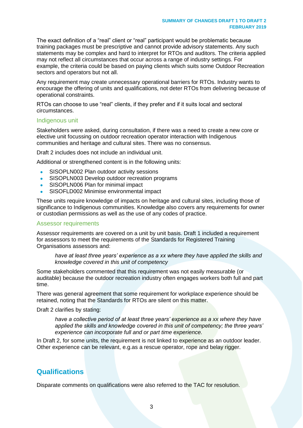The exact definition of a "real" client or "real" participant would be problematic because training packages must be prescriptive and cannot provide advisory statements. Any such statements may be complex and hard to interpret for RTOs and auditors. The criteria applied may not reflect all circumstances that occur across a range of industry settings. For example, the criteria could be based on paying clients which suits some Outdoor Recreation sectors and operators but not all.

Any requirement may create unnecessary operational barriers for RTOs. Industry wants to encourage the offering of units and qualifications, not deter RTOs from delivering because of operational constraints.

RTOs can choose to use "real" clients, if they prefer and if it suits local and sectoral circumstances.

#### Indigenous unit

Stakeholders were asked, during consultation, if there was a need to create a new core or elective unit focussing on outdoor recreation operator interaction with Indigenous communities and heritage and cultural sites. There was no consensus.

Draft 2 includes does not include an individual unit.

Additional or strengthened content is in the following units:

- SISOPLN002 Plan outdoor activity sessions
- SISOPLN003 Develop outdoor recreation programs
- SISOPLN006 Plan for minimal impact
- SISOFLD002 Minimise environmental impact

These units require knowledge of impacts on heritage and cultural sites, including those of significance to Indigenous communities. Knowledge also covers any requirements for owner or custodian permissions as well as the use of any codes of practice.

#### Assessor requirements

Assessor requirements are covered on a unit by unit basis. Draft 1 included a requirement for assessors to meet the requirements of the Standards for Registered Training Organisations assessors and:

*have at least three years' experience as a xx where they have applied the skills and knowledge covered in this unit of competency*

Some stakeholders commented that this requirement was not easily measurable (or auditable) because the outdoor recreation industry often engages workers both full and part time.

There was general agreement that some requirement for workplace experience should be retained, noting that the Standards for RTOs are silent on this matter.

Draft 2 clarifies by stating:

*have a collective period of at least three years' experience as a xx where they have applied the skills and knowledge covered in this unit of competency; the three years' experience can incorporate full and or part time experience.*

In Draft 2, for some units, the requirement is not linked to experience as an outdoor leader. Other experience can be relevant, e.g.as a rescue operator, rope and belay rigger.

## **Qualifications**

Disparate comments on qualifications were also referred to the TAC for resolution.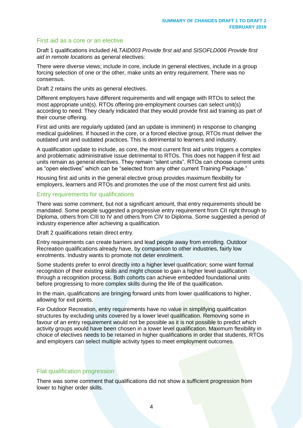#### First aid as a core or an elective

Draft 1 qualifications included *HLTAID003 Provide first aid* and *SISOFLD006 Provide first aid in remote locations* as general electives:

There were diverse views; include in core, include in general electives, include in a group forcing selection of one or the other, make units an entry requirement. There was no consensus.

Draft 2 retains the units as general electives.

Different employers have different requirements and will engage with RTOs to select the most appropriate unit(s). RTOs offering pre-employment courses can select unit(s) according to need. They clearly indicated that they would provide first aid training as part of their course offering.

First aid units are regularly updated (and an update is imminent) in response to changing medical guidelines. If housed in the core, or a forced elective group, RTOs must deliver the outdated unit and outdated practices. This is detrimental to learners and industry.

A qualification update to include, as core, the most current first aid units triggers a complex and problematic administrative issue detrimental to RTOs. This does not happen if first aid units remain as general electives. They remain "silent units". RTOs can choose current units as "open electives" which can be "selected from any other current Training Package."

Housing first aid units in the general elective group provides maximum flexibility for employers, learners and RTOs and promotes the use of the most current first aid units.

#### Entry requirements for qualifications

There was some comment, but not a significant amount, that entry requirements should be mandated. Some people suggested a progressive entry requirement from CII right through to Diploma, others from CIII to IV and others from CIV to Diploma. Some suggested a period of industry experience after achieving a qualification.

Draft 2 qualifications retain direct entry.

Entry requirements can create barriers and lead people away from enrolling. Outdoor Recreation qualifications already have, by comparison to other industries, fairly low enrolments. Industry wants to promote not deter enrolment.

Some students prefer to enrol directly into a higher level qualification; some want formal recognition of their existing skills and might choose to gain a higher level qualification through a recognition process. Both cohorts can achieve embedded foundational units before progressing to more complex skills during the life of the qualification.

In the main, qualifications are bringing forward units from lower qualifications to higher, allowing for exit points.

For Outdoor Recreation, entry requirements have no value in simplifying qualification structures by excluding units covered by a lower level qualification. Removing some in favour of an entry requirement would not be possible as it is not possible to predict which activity groups would have been chosen in a lower level qualification. Maximum flexibility in choice of electives needs to be retained in higher qualifications in order that students, RTOs and employers can select multiple activity types to meet employment outcomes.

#### Flat qualification progression

There was some comment that qualifications did not show a sufficient progression from lower to higher order skills.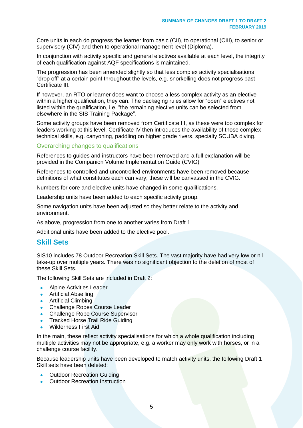Core units in each do progress the learner from basic (CII), to operational (CIII), to senior or supervisory (CIV) and then to operational management level (Diploma).

In conjunction with activity specific and general electives available at each level, the integrity of each qualification against AQF specifications is maintained.

The progression has been amended slightly so that less complex activity specialisations "drop off" at a certain point throughout the levels, e.g. snorkelling does not progress past Certificate III.

If however, an RTO or learner does want to choose a less complex activity as an elective within a higher qualification, they can. The packaging rules allow for "open" electives not listed within the qualification, i.e. "the remaining elective units can be selected from elsewhere in the SIS Training Package".

Some activity groups have been removed from Certificate III, as these were too complex for leaders working at this level. Certificate IV then introduces the availability of those complex technical skills, e.g. canyoning, paddling on higher grade rivers, specialty SCUBA diving.

#### Overarching changes to qualifications

References to guides and instructors have been removed and a full explanation will be provided in the Companion Volume Implementation Guide (CVIG)

References to controlled and uncontrolled environments have been removed because definitions of what constitutes each can vary; these will be canvassed in the CVIG.

Numbers for core and elective units have changed in some qualifications.

Leadership units have been added to each specific activity group.

Some navigation units have been adjusted so they better relate to the activity and environment.

As above, progression from one to another varies from Draft 1.

Additional units have been added to the elective pool.

#### **Skill Sets**

SIS10 includes 78 Outdoor Recreation Skill Sets. The vast majority have had very low or nil take-up over multiple years. There was no significant objection to the deletion of most of these Skill Sets.

The following Skill Sets are included in Draft 2:

- Alpine Activities Leader
- Artificial Abseiling
- Artificial Climbing
- Challenge Ropes Course Leader
- Challenge Rope Course Supervisor
- Tracked Horse Trail Ride Guiding
- Wilderness First Aid

In the main, these reflect activity specialisations for which a whole qualification including multiple activities may not be appropriate, e.g. a worker may only work with horses, or in a challenge course facility.

Because leadership units have been developed to match activity units, the following Draft 1 Skill sets have been deleted:

- Outdoor Recreation Guiding
- Outdoor Recreation Instruction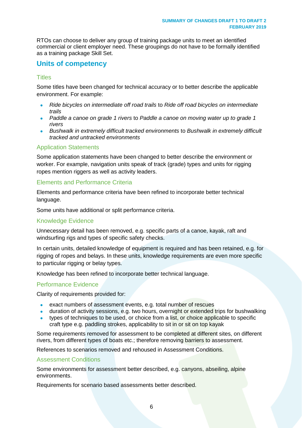RTOs can choose to deliver any group of training package units to meet an identified commercial or client employer need. These groupings do not have to be formally identified as a training package Skill Set.

## **Units of competency**

#### **Titles**

Some titles have been changed for technical accuracy or to better describe the applicable environment. For example:

- *Ride bicycles on intermediate off road trails* to *Ride off road bicycles on intermediate trails*
- *Paddle a canoe on grade 1 rivers* to *Paddle a canoe on moving water up to grade 1 rivers*
- *Bushwalk in extremely difficult tracked environments* to *Bushwalk in extremely difficult tracked and untracked environments*

#### Application Statements

Some application statements have been changed to better describe the environment or worker. For example, navigation units speak of track (grade) types and units for rigging ropes mention riggers as well as activity leaders.

#### Elements and Performance Criteria

Elements and performance criteria have been refined to incorporate better technical language.

Some units have additional or split performance criteria.

#### Knowledge Evidence

Unnecessary detail has been removed, e.g. specific parts of a canoe, kayak, raft and windsurfing rigs and types of specific safety checks.

In certain units, detailed knowledge of equipment is required and has been retained, e.g. for rigging of ropes and belays. In these units, knowledge requirements are even more specific to particular rigging or belay types.

Knowledge has been refined to incorporate better technical language.

#### Performance Evidence

Clarity of requirements provided for:

- exact numbers of assessment events, e.g. total number of rescues
- duration of activity sessions, e.g. two hours, overnight or extended trips for bushwalking
- types of techniques to be used, or choice from a list, or choice applicable to specific craft type e.g. paddling strokes, applicability to sit in or sit on top kayak

Some requirements removed for assessment to be completed at different sites, on different rivers, from different types of boats etc.; therefore removing barriers to assessment.

References to scenarios removed and rehoused in Assessment Conditions.

#### Assessment Conditions

Some environments for assessment better described, e.g. canyons, abseiling, alpine environments.

Requirements for scenario based assessments better described.